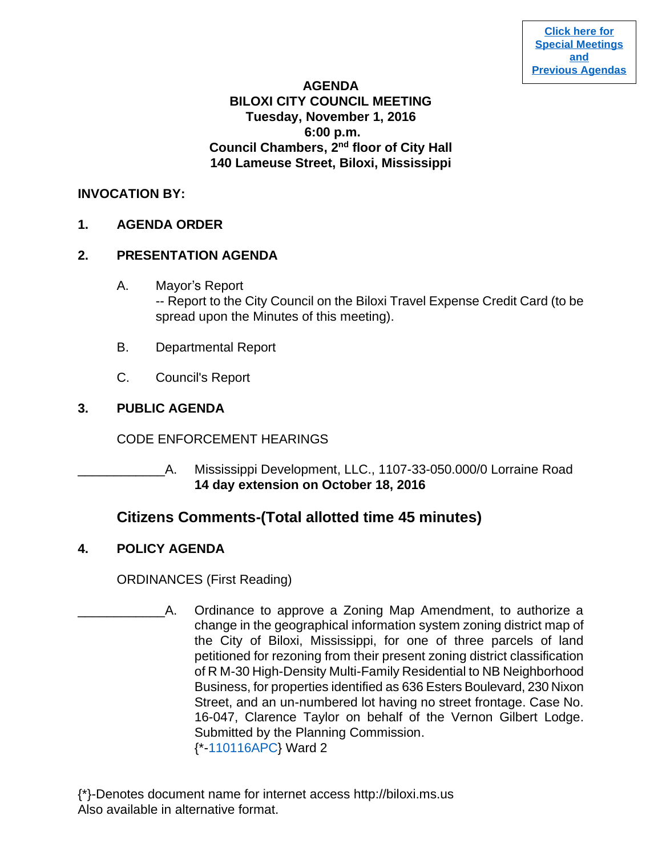### **AGENDA BILOXI CITY COUNCIL MEETING Tuesday, November 1, 2016 6:00 p.m. Council Chambers, 2nd floor of City Hall 140 Lameuse Street, Biloxi, Mississippi**

### **INVOCATION BY:**

**1. AGENDA ORDER**

## **2. PRESENTATION AGENDA**

- A. Mayor's Report -- Report to the City Council on the Biloxi Travel Expense Credit Card (to be spread upon the Minutes of this meeting).
- B. Departmental Report
- C. Council's Report

# **3. PUBLIC AGENDA**

## CODE ENFORCEMENT HEARINGS

A. Mississippi Development, LLC., 1107-33-050.000/0 Lorraine Road **14 day extension on October 18, 2016**

# **Citizens Comments-(Total allotted time 45 minutes)**

# **4. POLICY AGENDA**

ORDINANCES (First Reading)

\_\_\_\_\_\_\_\_\_\_\_\_A. Ordinance to approve a Zoning Map Amendment, to authorize a change in the geographical information system zoning district map of the City of Biloxi, Mississippi, for one of three parcels of land petitioned for rezoning from their present zoning district classification of R M-30 High-Density Multi-Family Residential to NB Neighborhood Business, for properties identified as 636 Esters Boulevard, 230 Nixon Street, and an un-numbered lot having no street frontage. Case No. 16-047, Clarence Taylor on behalf of the Vernon Gilbert Lodge. Submitted by the Planning Commission. {\*[-110116APC}](http://www.biloxi.ms.us/agendas/citycouncil/2016/110116/110116apc.pdf) Ward 2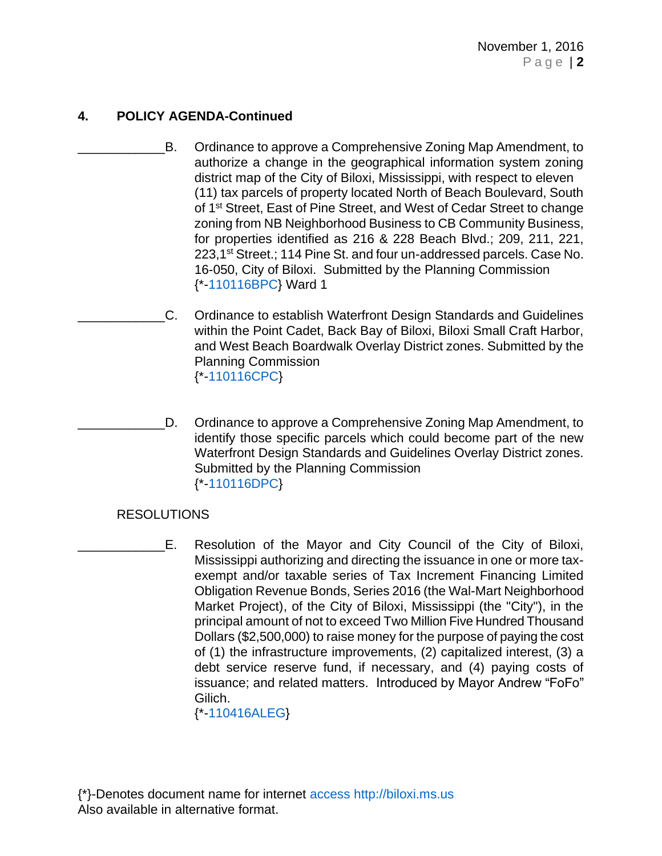# **4. POLICY AGENDA-Continued**

- \_\_\_\_\_\_\_\_\_\_\_\_B. Ordinance to approve a Comprehensive Zoning Map Amendment, to authorize a change in the geographical information system zoning district map of the City of Biloxi, Mississippi, with respect to eleven (11) tax parcels of property located North of Beach Boulevard, South of 1st Street, East of Pine Street, and West of Cedar Street to change zoning from NB Neighborhood Business to CB Community Business, for properties identified as 216 & 228 Beach Blvd.; 209, 211, 221, 223,1<sup>st</sup> Street.; 114 Pine St. and four un-addressed parcels. Case No. 16-050, City of Biloxi. Submitted by the Planning Commission {\*[-110116BPC}](http://www.biloxi.ms.us/agendas/citycouncil/2016/110116/110116bpc.pdf) Ward 1
	- \_\_\_\_\_\_\_\_\_\_\_\_C. Ordinance to establish Waterfront Design Standards and Guidelines within the Point Cadet, Back Bay of Biloxi, Biloxi Small Craft Harbor, and West Beach Boardwalk Overlay District zones. Submitted by the Planning Commission {\*[-110116CPC}](http://www.biloxi.ms.us/agendas/citycouncil/2016/110116/110116cpc.pdf)
	- D. Ordinance to approve a Comprehensive Zoning Map Amendment, to identify those specific parcels which could become part of the new Waterfront Design Standards and Guidelines Overlay District zones. Submitted by the Planning Commission {\*[-110116DPC}](http://www.biloxi.ms.us/agendas/citycouncil/2016/110116/110116dpc.pdf)

## RESOLUTIONS

\_\_\_\_\_\_\_\_\_\_\_\_E. Resolution of the Mayor and City Council of the City of Biloxi, Mississippi authorizing and directing the issuance in one or more taxexempt and/or taxable series of Tax Increment Financing Limited Obligation Revenue Bonds, Series 2016 (the Wal-Mart Neighborhood Market Project), of the City of Biloxi, Mississippi (the "City"), in the principal amount of not to exceed Two Million Five Hundred Thousand Dollars (\$2,500,000) to raise money for the purpose of paying the cost of (1) the infrastructure improvements, (2) capitalized interest, (3) a debt service reserve fund, if necessary, and (4) paying costs of issuance; and related matters. Introduced by Mayor Andrew "FoFo" Gilich.

{\*[-110416ALEG}](http://www.biloxi.ms.us/agendas/citycouncil/2016/110116/110116aleg.pdf)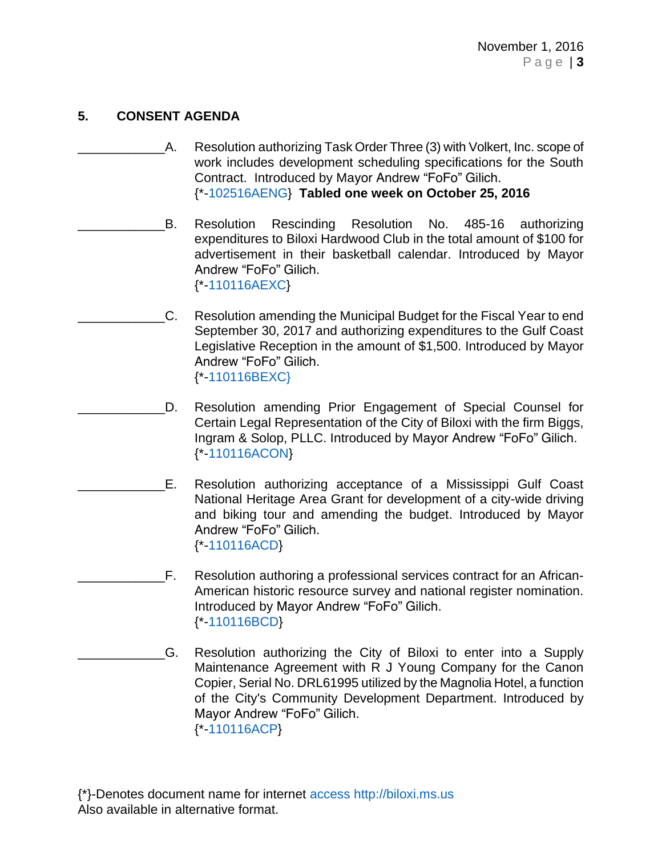## **5. CONSENT AGENDA**

- A. Resolution authorizing Task Order Three (3) with Volkert, Inc. scope of work includes development scheduling specifications for the South Contract. Introduced by Mayor Andrew "FoFo" Gilich. {\*[-102516AENG}](http://www.biloxi.ms.us/agendas/citycouncil/2016/110116/102516aeng.pdf) **Tabled one week on October 25, 2016**
	- B. Resolution Rescinding Resolution No. 485-16 authorizing expenditures to Biloxi Hardwood Club in the total amount of \$100 for advertisement in their basketball calendar. Introduced by Mayor Andrew "FoFo" Gilich. {\*[-110116AEXC}](http://www.biloxi.ms.us/agendas/citycouncil/2016/110116/110116aexc.pdf)
		- \_\_\_\_\_\_\_\_\_\_\_\_C. Resolution amending the Municipal Budget for the Fiscal Year to end September 30, 2017 and authorizing expenditures to the Gulf Coast Legislative Reception in the amount of \$1,500. Introduced by Mayor Andrew "FoFo" Gilich. {\*[-110116BEXC}](http://www.biloxi.ms.us/agendas/citycouncil/2016/110116/110116bexc.pdf)
- D. Resolution amending Prior Engagement of Special Counsel for Certain Legal Representation of the City of Biloxi with the firm Biggs, Ingram & Solop, PLLC. Introduced by Mayor Andrew "FoFo" Gilich. {\*[-110116ACON}](http://www.biloxi.ms.us/agendas/citycouncil/2016/110116/110116acon.pdf)
- \_\_\_\_\_\_\_\_\_\_\_\_E. Resolution authorizing acceptance of a Mississippi Gulf Coast National Heritage Area Grant for development of a city-wide driving and biking tour and amending the budget. Introduced by Mayor Andrew "FoFo" Gilich. {\*[-110116ACD}](http://www.biloxi.ms.us/agendas/citycouncil/2016/110116/110116acd.pdf)
- \_\_\_\_\_\_\_\_\_\_\_\_F. Resolution authoring a professional services contract for an African-American historic resource survey and national register nomination. Introduced by Mayor Andrew "FoFo" Gilich. {\*[-110116BCD}](http://www.biloxi.ms.us/agendas/citycouncil/2016/110116/110116bcd.pdf)
- \_\_\_\_\_\_\_\_\_\_\_\_G. Resolution authorizing the City of Biloxi to enter into a Supply Maintenance Agreement with R J Young Company for the Canon Copier, Serial No. DRL61995 utilized by the Magnolia Hotel, a function of the City's Community Development Department. Introduced by Mayor Andrew "FoFo" Gilich. {\*[-110116ACP}](http://www.biloxi.ms.us/agendas/citycouncil/2016/110116/110116acp.pdf)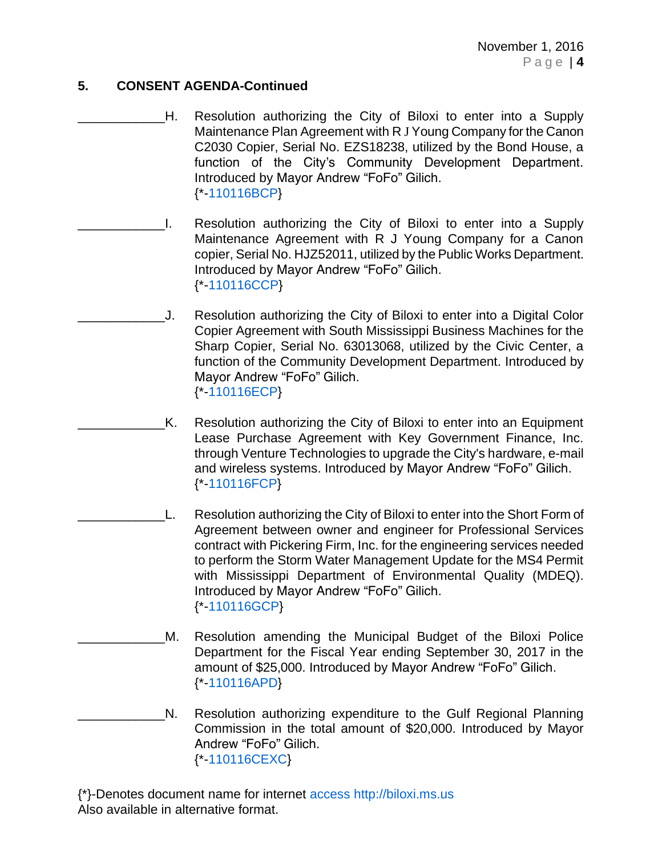### **5. CONSENT AGENDA-Continued**

- H. Resolution authorizing the City of Biloxi to enter into a Supply Maintenance Plan Agreement with R J Young Company for the Canon C2030 Copier, Serial No. EZS18238, utilized by the Bond House, a function of the City's Community Development Department. Introduced by Mayor Andrew "FoFo" Gilich. {\*[-110116BCP}](http://www.biloxi.ms.us/agendas/citycouncil/2016/110116/110116bcp.pdf)
- \_\_\_\_\_\_\_\_\_\_\_\_I. Resolution authorizing the City of Biloxi to enter into a Supply Maintenance Agreement with R J Young Company for a Canon copier, Serial No. HJZ52011, utilized by the Public Works Department. Introduced by Mayor Andrew "FoFo" Gilich. {\*[-110116CCP}](http://www.biloxi.ms.us/agendas/citycouncil/2016/110116/110116ccp.pdf)
	- J. Resolution authorizing the City of Biloxi to enter into a Digital Color Copier Agreement with South Mississippi Business Machines for the Sharp Copier, Serial No. 63013068, utilized by the Civic Center, a function of the Community Development Department. Introduced by Mayor Andrew "FoFo" Gilich. {\*[-110116ECP}](http://www.biloxi.ms.us/agendas/citycouncil/2016/110116/110116ecp.pdf)
		- K. Resolution authorizing the City of Biloxi to enter into an Equipment Lease Purchase Agreement with Key Government Finance, Inc. through Venture Technologies to upgrade the City's hardware, e-mail and wireless systems. Introduced by Mayor Andrew "FoFo" Gilich. {\*[-110116FCP}](http://www.biloxi.ms.us/agendas/citycouncil/2016/110116/110116fcp.pdf)
- \_\_\_\_\_\_\_\_\_\_\_\_L. Resolution authorizing the City of Biloxi to enter into the Short Form of Agreement between owner and engineer for Professional Services contract with Pickering Firm, Inc. for the engineering services needed to perform the Storm Water Management Update for the MS4 Permit with Mississippi Department of Environmental Quality (MDEQ). Introduced by Mayor Andrew "FoFo" Gilich. {\*[-110116GCP}](http://www.biloxi.ms.us/agendas/citycouncil/2016/110116/110116gcp.pdf)
	- \_\_\_\_\_\_\_\_\_\_\_\_M. Resolution amending the Municipal Budget of the Biloxi Police Department for the Fiscal Year ending September 30, 2017 in the amount of \$25,000. Introduced by Mayor Andrew "FoFo" Gilich. {\*[-110116APD}](http://www.biloxi.ms.us/agendas/citycouncil/2016/110116/110116apd.pdf)
- N. Resolution authorizing expenditure to the Gulf Regional Planning Commission in the total amount of \$20,000. Introduced by Mayor Andrew "FoFo" Gilich. {\*[-110116CEXC}](http://www.biloxi.ms.us/agendas/citycouncil/2016/110116/110116cexc.pdf)

{\*}-Denotes document name for internet [access http://biloxi.ms.us](access%20http:/biloxi.ms.us) Also available in alternative format.